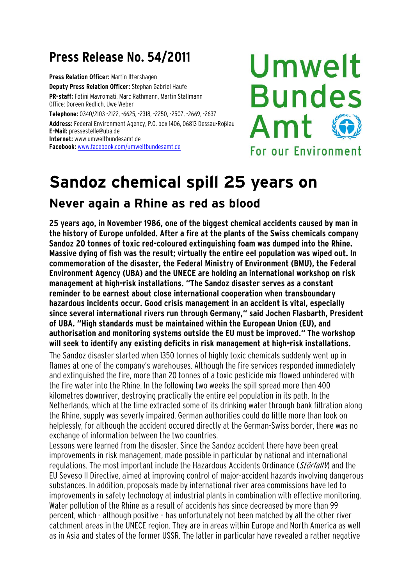## **Press Release No. 54/2011**

**Press Relation Officer:** Martin Ittershagen **Deputy Press Relation Officer:** Stephan Gabriel Haufe **PR-staff:** Fotini Mavromati, Marc Rathmann, Martin Stallmann Office: Doreen Redlich, Uwe Weber **Telephone:** 0340/2103 -2122, -6625, -2318, -2250, -2507, -2669, -2637 **Address:** Federal Environment Agency, P.O. box 1406, 06813 Dessau-Roßlau **E-Mail:** [pressestelle@uba.de](mailto:pressestelle@uba.de)

**Internet:** [www.umweltbundesamt.de](http://www.umweltbundesamt.de/) **Facebook:** [www.facebook.com/umweltbundesamt.de](http://www.facebook.com/umweltbundesamt.de)

## Umwelt **Bundes** Amt For our Environment

## **Sandoz chemical spill 25 years on**

## **Never again a Rhine as red as blood**

**25 years ago, in November 1986, one of the biggest chemical accidents caused by man in the history of Europe unfolded. After a fire at the plants of the Swiss chemicals company Sandoz 20 tonnes of toxic red-coloured extinguishing foam was dumped into the Rhine. Massive dying of fish was the result; virtually the entire eel population was wiped out. In commemoration of the disaster, the Federal Ministry of Environment (BMU), the Federal Environment Agency (UBA) and the UNECE are holding an international workshop on risk management at high-risk installations. "The Sandoz disaster serves as a constant reminder to be earnest about close international cooperation when transboundary hazardous incidents occur. Good crisis management in an accident is vital, especially since several international rivers run through Germany," said Jochen Flasbarth, President of UBA. "High standards must be maintained within the European Union (EU), and authorisation and monitoring systems outside the EU must be improved." The workshop will seek to identify any existing deficits in risk management at high-risk installations.** 

The Sandoz disaster started when 1350 tonnes of highly toxic chemicals suddenly went up in flames at one of the company's warehouses. Although the fire services responded immediately and extinguished the fire, more than 20 tonnes of a toxic pesticide mix flowed unhindered with the fire water into the Rhine. In the following two weeks the spill spread more than 400 kilometres downriver, destroying practically the entire eel population in its path. In the Netherlands, which at the time extracted some of its drinking water through bank filtration along the Rhine, supply was severly impaired. German authorities could do little more than look on helplessly, for although the accident occured directly at the German-Swiss border, there was no exchange of information between the two countries.

Lessons were learned from the disaster. Since the Sandoz accident there have been great improvements in risk management, made possible in particular by national and international regulations. The most important include the Hazardous Accidents Ordinance (StörfallV) and the EU Seveso II Directive, aimed at improving control of major-accident hazards involving dangerous substances. In addition, proposals made by international river area commissions have led to improvements in safety technology at industrial plants in combination with effective monitoring. Water pollution of the Rhine as a result of accidents has since decreased by more than 99 percent, which - although positive – has unfortunately not been matched by all the other river catchment areas in the UNECE region. They are in areas within Europe and North America as well as in Asia and states of the former USSR. The latter in particular have revealed a rather negative